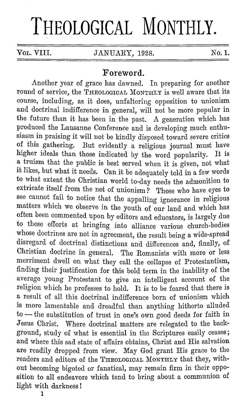## **THEOLOGICAL MONTHLY.**

**VOL. VIII. JANUARY, 1928.** No. 1.

## **Foreword.**

Another year of grace has dawned. In preparing for another round of service, the THEOLOGICAL MONTHLY is well aware that its course, including, as it does, unfaltering opposition to unionism and doctrinal indifference in general, will not be more popular in the future than it has been in the past. A generation which has produced the Lausanne Conference and is developing much enthusiasm in praising it will not be kindly disposed toward severe critics of this gathering. But evidently a religious journal must have higher ideals than those indicated by the word popularity. It is a truism that the public is best served when it is given, not what it likes, but what it needs. Can it be adequately told in a few words to what extent the Christian world to-day needs the admonition to extricate itself from the net of unionism? Those who have eyes to see cannot fail to notice that the appalling ignorance in religious matters which we observe in the youth of our land and which has often been commented upon by editors and educators, is largely due to these efforts at bringing into alliance various church-bodies whose doctrines are not in agreement, the result being a wide-spread disregard of doctrinal distinctions and differences and, finally, of Christian doctrine in general. The Romanists with more or less merriment dwell on what they call the collapse of Protestantism, finding their justification for this bold term in the inability of the average young Protestant to give an intelligent account of the religion which he professes to hold. It is to be feared that there is a result of all this doctrinal indifference born of unionism which is more lamentable and dreadful than anything hitherto alluded  $to$  - the substitution of trust in one's own good deeds for faith in Jesus Christ. Where doctrinal matters are relegated to the background, study of what is essential in the Scriptures easily ceases; and where this sad state of affairs obtains, Christ and His salvation are readily dropped from view. May God grant His grace to the readers and editors of the THEOLOGICAL MONTHLY that they, without becoming bigoted or fanatical, may remain firm in their opposition to all endeavors which tend to bring about a communion of light with darkness I

**1**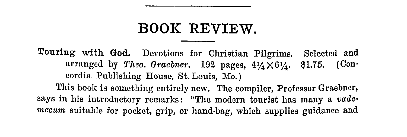## **BOOK REVIEW.**

Touring with God. Devotions for Christian Pilgrims. Selected and arranged by *Theo. Graebner*. 192 pages,  $4\frac{1}{4} \times 6\frac{1}{4}$ . \$1.75. (Concordia Publishing House, St. Louis, Mo.) This book is something entirely new. The compiler, Professor Graebner, says in his introductory remarks: "The modern tourist has many a *vade· mecum* suitable for pocket, grip, or hand-bag, which supplies guidance and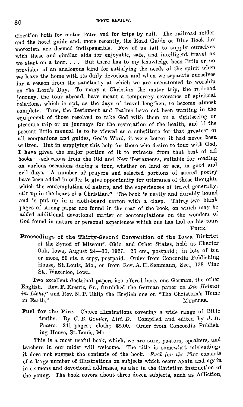direction both for motor tours and for trips by rail. The railroad folder and the hotel guide and, more recently, the Road Guide or Dlue Book for motorists arc deemed indispensable. Few of us fail to supply ourselves with these and similar aids for enjoyable, safe, and intelligent travel as we start on a tour.... But there has to my knowledge been little or no provision of an analogous kind for satisfying the needs of the spirit when we leave the home with its daily devotions and when we separate ourselves for a season from the sanctuary at which we are accustomed to worship on the Lord's Day. To many a Christian the motor trip, the railroad journey, the tour abroad, have meant a temporary severance of spiritual relations, which is apt, as the days of travel lengthen, to become almost complete. True, the Testament and Psalms have not been wanting in the equipment of those resolved to take God with them on a sightseeing or pleasure trip or on journeys for the restoration of the health, and if the present little manual is to be viewed as a substitute for that greatest of **all** companions and guides, God's Word, it were better it had never been written. But in supplying this help for those who desire to tour with God, I have given the major portion of it to extracts from that best of all books - selections from the Old and New Testaments, suitable for reading on various occasions during a tour, whether on land or sea, in good and evil days. A number of prayers and selected portions of sacred poetry have been added in order to give opportunity for utterance of those thoughts which the contemplation of nature, and the experiences of travel generally, stir up in the heart of a Christian." The book is neatly and durably bound and is put up in a cloth-board carton with a clasp. Thirty-two blank pages of strong paper are found in the rear of the book, on which may be added additional devotional matter or contemplations on the wonders of God found in nature or personal experiences which one has had on his tour. FRITZ,

Proceedings of the Thirty-Second Convention of the Iowa District of the Synod of Missouri, Ohio, and Other States, held at Charter Oak, Iowa, August 24-30, 1927. 25 cts., postpaid; in lots of ten or more, 20 cts. a copy, postpaid. Order from Concordia Publishing House, St. Louis, Mo., or from Rev. A.H. Semmann, Sec., 128 Vine St., Waterloo, Iowa.

Two excellent doctrinal papers are offered here, one German, the other English. Rev. F. Krentz, Sr., furnished the German paper on *Die IIeirnat im Licht,"* and Rev. N. P. Uhlig the English one on "The Christian's Home on Earth." MuncLER.

Fuel for the Fire. Choice illustrations covering a wide range of Dible truths. By  $C.$   $B.$   $Gohdes$ ,  $Litt$ ,  $D.$  Compiled and edited by  $J.$   $H.$ *Peters.* 341 pages; cloth; \$2.00. Order from Concordia Publishing House, St. Louis, Mo.

This is a most useful book, which, we are sure, pastors, speakers, and teachers in our midst will welcome. The title is somewhat misleading; it does not suggest the contents of the book. *Fuel for the Fire* consists of a large number of illustrations on subjects which occur again and again in sermons and devotional addresses, as also in the Christian instruction of the young, The book covers about three dozen subjects, such as Affliction,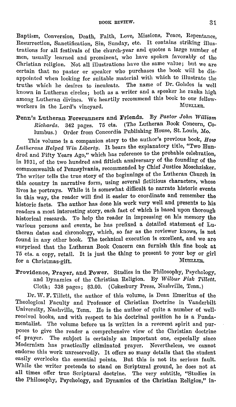Baptism, Conversion, Death, Faith, Love, Missions, Peace, Repentance, Resurrection, Sanctification, Sin, Sunday, etc. It contains striking illustrations for all festivals of the church-year and quotes a large number of men, usually learned and prominent, who have spoken favorably of the Christian religion. Not all illustrations have the same value; but we are certain that no pastor or speaker who purchases the book will be disappointed when looking for suitable material with which to illustrate the truths which he desires to inculcate. The name of Dr. Gohdes is well known in Lutheran circles; both as a writer and a speaker he ranks high among Lutheran divines. We heartily recommend this book to our fellow-<br>workers in the Lord's unorgard MUELLER. workers in the Lord's vineyard.

Penn's Lutheran Forerunners and Friends. By *Pastor John William Richards.* 342 pages. 75 cts. (The Lutheran Book Concern, Columbus.) Order from Concordia Publishing House, St. Louis, Mo.

This volume is a companion story to the author's previous book, *How Lutherans Helped Win Liberty.* It bears the explanatory title, "Two Hundred and Fifty Years Ago," which has reference to the probable celebration, in 1031, of the two hundred and fiftieth anniversary of the founding of the commonwealth of Pennsylvania, recommended by Chief Justice Moschzisker. The writer tells the true story of the beginnings of the Lutheran Church in this country in narrative form, using several fictitious characters, whose lives he portrays. While it is somewhat difficult to narrate historic events in this way, the reader will find it easier to coordinate and remember the historic facts. The author has done his work very well and presents to his readers a most interesting story, each fact of which is based upon thorough historical research. To help the reader in impressing on his memory the various persons and events, he has prefixed a detailed statement of Lutheran dates and chronology, which, so far as the reviewer knows, is not found in any other book. The technical execution is excellent, and we are surprised that the Lutheran Book Concern can furnish this fine book at 75 cts. a copy, retail. It is just the thing to present to your boy or girl for a Christmas-gift.

Providence, Prayer, and Power. Studies in the Philosophy, Psychology, and Dynamics of the Christian Religion. Dy *Wilbur Fisk Tillett.*  Cloth; 338 pages; \$3.00. (Cokesbury Press, Nashville, Tenn.)

Dr. W. F. Tillett, the author of this volume, is Dean Emeritus of the Theological Faculty and Professor of Christian Doctrine in Vanderbilt University, Nashville, Tenn. He is the author of quite a number of well· received books, and with respect to his doctrinal position he is a Fundamentalist. The volume before us is written in a reverent spirit and pur· poses to give the reader a comprehensive view of tho Christian doctrine of prayer. The subject is certainly an important one, especially since Modernism has practically eliminated prayer. Nevertheless, we cannot endorse this work unreservedly. It offers so many details that the student easily overlooks the essential points. But this is not its serious fault. While the writer pretends to stand on Scriptural ground, he does not at all times offer true Scriptural doctrine. The very subtitle, "Studies in the Philosophy, Psychology, and Dynamics of the Christian Religion," in·